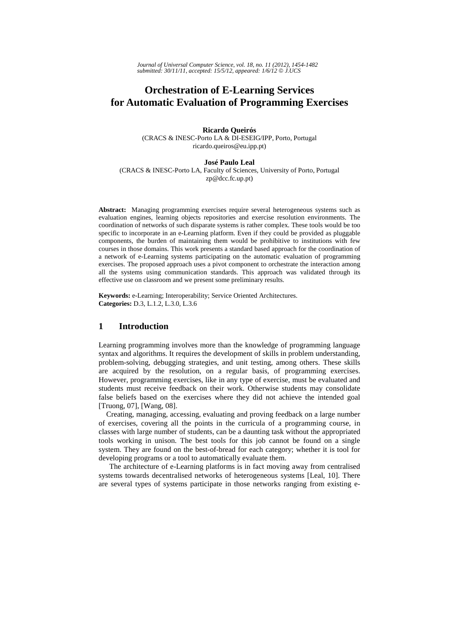# **Orchestration of E-Learning Services for Automatic Evaluation of Programming Exercises**

**Ricardo Queirós**  (CRACS & INESC-Porto LA & DI-ESEIG/IPP, Porto, Portugal ricardo.queiros@eu.ipp.pt)

#### **José Paulo Leal**

(CRACS & INESC-Porto LA, Faculty of Sciences, University of Porto, Portugal zp@dcc.fc.up.pt)

**Abstract:** Managing programming exercises require several heterogeneous systems such as evaluation engines, learning objects repositories and exercise resolution environments. The coordination of networks of such disparate systems is rather complex. These tools would be too specific to incorporate in an e-Learning platform. Even if they could be provided as pluggable components, the burden of maintaining them would be prohibitive to institutions with few courses in those domains. This work presents a standard based approach for the coordination of a network of e-Learning systems participating on the automatic evaluation of programming exercises. The proposed approach uses a pivot component to orchestrate the interaction among all the systems using communication standards. This approach was validated through its effective use on classroom and we present some preliminary results.

**Keywords:** e-Learning; Interoperability; Service Oriented Architectures. **Categories:** D.3, L.1.2, L.3.0, L.3.6

## **1 Introduction**

Learning programming involves more than the knowledge of programming language syntax and algorithms. It requires the development of skills in problem understanding, problem-solving, debugging strategies, and unit testing, among others. These skills are acquired by the resolution, on a regular basis, of programming exercises. However, programming exercises, like in any type of exercise, must be evaluated and students must receive feedback on their work. Otherwise students may consolidate false beliefs based on the exercises where they did not achieve the intended goal [Truong, 07], [Wang, 08].

 Creating, managing, accessing, evaluating and proving feedback on a large number of exercises, covering all the points in the curricula of a programming course, in classes with large number of students, can be a daunting task without the appropriated tools working in unison. The best tools for this job cannot be found on a single system. They are found on the best-of-bread for each category; whether it is tool for developing programs or a tool to automatically evaluate them.

The architecture of e-Learning platforms is in fact moving away from centralised systems towards decentralised networks of heterogeneous systems [Leal, 10]. There are several types of systems participate in those networks ranging from existing e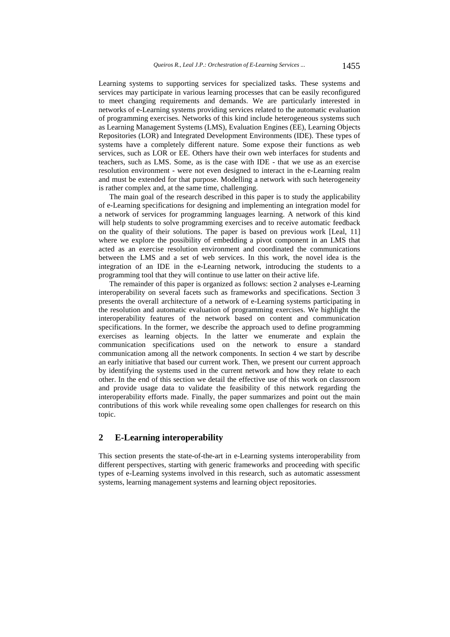Learning systems to supporting services for specialized tasks. These systems and services may participate in various learning processes that can be easily reconfigured to meet changing requirements and demands. We are particularly interested in networks of e-Learning systems providing services related to the automatic evaluation of programming exercises. Networks of this kind include heterogeneous systems such as Learning Management Systems (LMS), Evaluation Engines (EE), Learning Objects Repositories (LOR) and Integrated Development Environments (IDE). These types of systems have a completely different nature. Some expose their functions as web services, such as LOR or EE. Others have their own web interfaces for students and teachers, such as LMS. Some, as is the case with IDE - that we use as an exercise resolution environment - were not even designed to interact in the e-Learning realm and must be extended for that purpose. Modelling a network with such heterogeneity is rather complex and, at the same time, challenging.

The main goal of the research described in this paper is to study the applicability of e-Learning specifications for designing and implementing an integration model for a network of services for programming languages learning. A network of this kind will help students to solve programming exercises and to receive automatic feedback on the quality of their solutions. The paper is based on previous work [Leal, 11] where we explore the possibility of embedding a pivot component in an LMS that acted as an exercise resolution environment and coordinated the communications between the LMS and a set of web services. In this work, the novel idea is the integration of an IDE in the e-Learning network, introducing the students to a programming tool that they will continue to use latter on their active life.

The remainder of this paper is organized as follows: section 2 analyses e-Learning interoperability on several facets such as frameworks and specifications. Section 3 presents the overall architecture of a network of e-Learning systems participating in the resolution and automatic evaluation of programming exercises. We highlight the interoperability features of the network based on content and communication specifications. In the former, we describe the approach used to define programming exercises as learning objects. In the latter we enumerate and explain the communication specifications used on the network to ensure a standard communication among all the network components. In section 4 we start by describe an early initiative that based our current work. Then, we present our current approach by identifying the systems used in the current network and how they relate to each other. In the end of this section we detail the effective use of this work on classroom and provide usage data to validate the feasibility of this network regarding the interoperability efforts made. Finally, the paper summarizes and point out the main contributions of this work while revealing some open challenges for research on this topic.

## **2 E-Learning interoperability**

This section presents the state-of-the-art in e-Learning systems interoperability from different perspectives, starting with generic frameworks and proceeding with specific types of e-Learning systems involved in this research, such as automatic assessment systems, learning management systems and learning object repositories.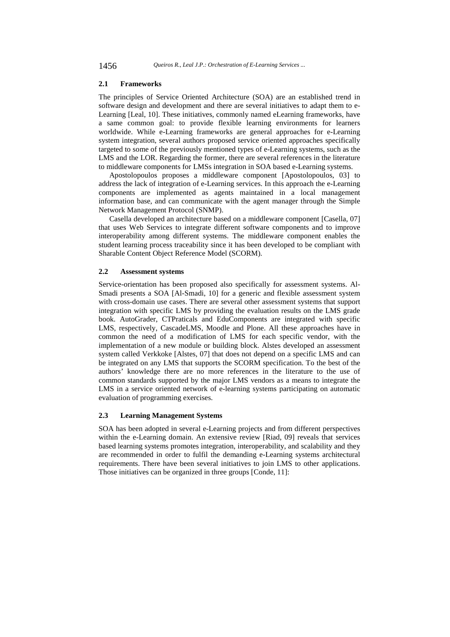#### **2.1 Frameworks**

The principles of Service Oriented Architecture (SOA) are an established trend in software design and development and there are several initiatives to adapt them to e-Learning [Leal, 10]. These initiatives, commonly named eLearning frameworks, have a same common goal: to provide flexible learning environments for learners worldwide. While e-Learning frameworks are general approaches for e-Learning system integration, several authors proposed service oriented approaches specifically targeted to some of the previously mentioned types of e-Learning systems, such as the LMS and the LOR. Regarding the former, there are several references in the literature to middleware components for LMSs integration in SOA based e-Learning systems.

Apostolopoulos proposes a middleware component [Apostolopoulos, 03] to address the lack of integration of e-Learning services. In this approach the e-Learning components are implemented as agents maintained in a local management information base, and can communicate with the agent manager through the Simple Network Management Protocol (SNMP).

Casella developed an architecture based on a middleware component [Casella, 07] that uses Web Services to integrate different software components and to improve interoperability among different systems. The middleware component enables the student learning process traceability since it has been developed to be compliant with Sharable Content Object Reference Model (SCORM).

#### **2.2 Assessment systems**

Service-orientation has been proposed also specifically for assessment systems. Al-Smadi presents a SOA [Al-Smadi, 10] for a generic and flexible assessment system with cross-domain use cases. There are several other assessment systems that support integration with specific LMS by providing the evaluation results on the LMS grade book. AutoGrader, CTPraticals and EduComponents are integrated with specific LMS, respectively, CascadeLMS, Moodle and Plone. All these approaches have in common the need of a modification of LMS for each specific vendor, with the implementation of a new module or building block. Alstes developed an assessment system called Verkkoke [Alstes, 07] that does not depend on a specific LMS and can be integrated on any LMS that supports the SCORM specification. To the best of the authors' knowledge there are no more references in the literature to the use of common standards supported by the major LMS vendors as a means to integrate the LMS in a service oriented network of e-learning systems participating on automatic evaluation of programming exercises.

#### **2.3 Learning Management Systems**

SOA has been adopted in several e-Learning projects and from different perspectives within the e-Learning domain. An extensive review [Riad, 09] reveals that services based learning systems promotes integration, interoperability, and scalability and they are recommended in order to fulfil the demanding e-Learning systems architectural requirements. There have been several initiatives to join LMS to other applications. Those initiatives can be organized in three groups [Conde, 11]: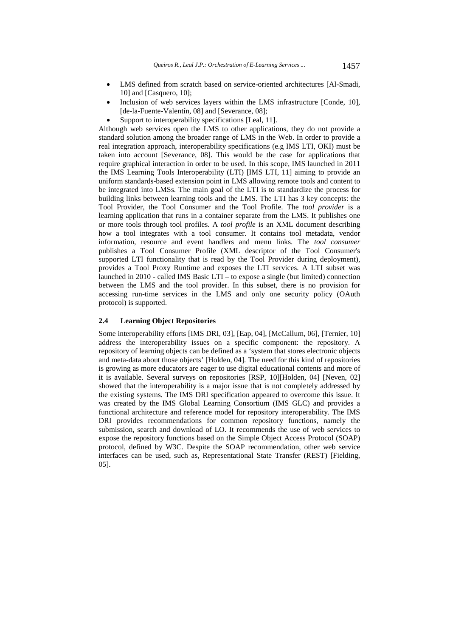- LMS defined from scratch based on service-oriented architectures [Al-Smadi, 10] and [Casquero, 10];
- Inclusion of web services layers within the LMS infrastructure [Conde, 10], [de-la-Fuente-Valentín, 08] and [Severance, 08];
- Support to interoperability specifications [Leal, 11].

Although web services open the LMS to other applications, they do not provide a standard solution among the broader range of LMS in the Web. In order to provide a real integration approach, interoperability specifications (e.g IMS LTI, OKI) must be taken into account [Severance, 08]. This would be the case for applications that require graphical interaction in order to be used. In this scope, IMS launched in 2011 the IMS Learning Tools Interoperability (LTI) [IMS LTI, 11] aiming to provide an uniform standards-based extension point in LMS allowing remote tools and content to be integrated into LMSs. The main goal of the LTI is to standardize the process for building links between learning tools and the LMS. The LTI has 3 key concepts: the Tool Provider, the Tool Consumer and the Tool Profile. The *tool provider* is a learning application that runs in a container separate from the LMS. It publishes one or more tools through tool profiles. A *tool profile* is an XML document describing how a tool integrates with a tool consumer. It contains tool metadata, vendor information, resource and event handlers and menu links. The *tool consumer* publishes a Tool Consumer Profile (XML descriptor of the Tool Consumer's supported LTI functionality that is read by the Tool Provider during deployment), provides a Tool Proxy Runtime and exposes the LTI services. A LTI subset was launched in 2010 - called IMS Basic LTI – to expose a single (but limited) connection between the LMS and the tool provider. In this subset, there is no provision for accessing run-time services in the LMS and only one security policy (OAuth protocol) is supported.

## **2.4 Learning Object Repositories**

Some interoperability efforts [IMS DRI, 03], [Eap, 04], [McCallum, 06], [Ternier, 10] address the interoperability issues on a specific component: the repository. A repository of learning objects can be defined as a 'system that stores electronic objects and meta-data about those objects' [Holden, 04]. The need for this kind of repositories is growing as more educators are eager to use digital educational contents and more of it is available. Several surveys on repositories [RSP, 10][Holden, 04] [Neven, 02] showed that the interoperability is a major issue that is not completely addressed by the existing systems. The IMS DRI specification appeared to overcome this issue. It was created by the IMS Global Learning Consortium (IMS GLC) and provides a functional architecture and reference model for repository interoperability. The IMS DRI provides recommendations for common repository functions, namely the submission, search and download of LO. It recommends the use of web services to expose the repository functions based on the Simple Object Access Protocol (SOAP) protocol, defined by W3C. Despite the SOAP recommendation, other web service interfaces can be used, such as, Representational State Transfer (REST) [Fielding, 05].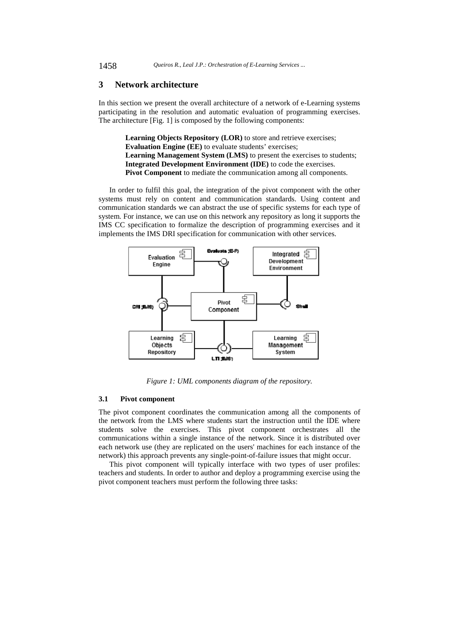### **3 Network architecture**

In this section we present the overall architecture of a network of e-Learning systems participating in the resolution and automatic evaluation of programming exercises. The architecture [Fig. 1] is composed by the following components:

> **Learning Objects Repository (LOR)** to store and retrieve exercises; **Evaluation Engine (EE)** to evaluate students' exercises; **Learning Management System (LMS)** to present the exercises to students; **Integrated Development Environment (IDE)** to code the exercises. **Pivot Component** to mediate the communication among all components.

In order to fulfil this goal, the integration of the pivot component with the other systems must rely on content and communication standards. Using content and communication standards we can abstract the use of specific systems for each type of system. For instance, we can use on this network any repository as long it supports the IMS CC specification to formalize the description of programming exercises and it implements the IMS DRI specification for communication with other services.



*Figure 1: UML components diagram of the repository.*

#### **3.1 Pivot component**

The pivot component coordinates the communication among all the components of the network from the LMS where students start the instruction until the IDE where students solve the exercises. This pivot component orchestrates all the communications within a single instance of the network. Since it is distributed over each network use (they are replicated on the users' machines for each instance of the network) this approach prevents any single-point-of-failure issues that might occur.

This pivot component will typically interface with two types of user profiles: teachers and students. In order to author and deploy a programming exercise using the pivot component teachers must perform the following three tasks: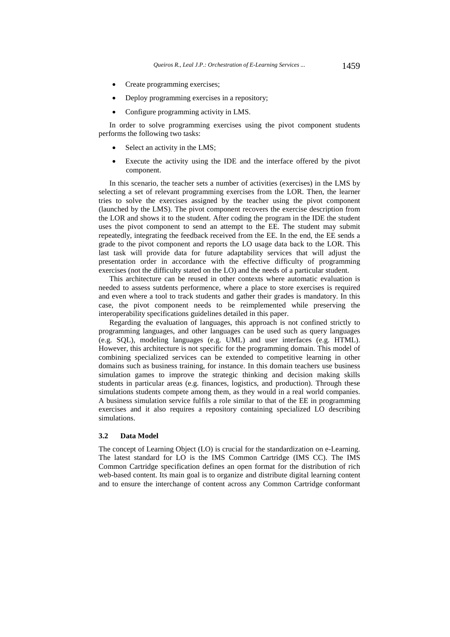- Create programming exercises;
- Deploy programming exercises in a repository;
- Configure programming activity in LMS.

In order to solve programming exercises using the pivot component students performs the following two tasks:

- Select an activity in the LMS;
- Execute the activity using the IDE and the interface offered by the pivot component.

In this scenario, the teacher sets a number of activities (exercises) in the LMS by selecting a set of relevant programming exercises from the LOR. Then, the learner tries to solve the exercises assigned by the teacher using the pivot component (launched by the LMS). The pivot component recovers the exercise description from the LOR and shows it to the student. After coding the program in the IDE the student uses the pivot component to send an attempt to the EE. The student may submit repeatedly, integrating the feedback received from the EE. In the end, the EE sends a grade to the pivot component and reports the LO usage data back to the LOR. This last task will provide data for future adaptability services that will adjust the presentation order in accordance with the effective difficulty of programming exercises (not the difficulty stated on the LO) and the needs of a particular student.

This architecture can be reused in other contexts where automatic evaluation is needed to assess sutdents performence, where a place to store exercises is required and even where a tool to track students and gather their grades is mandatory. In this case, the pivot component needs to be reimplemented while preserving the interoperability specifications guidelines detailed in this paper.

Regarding the evaluation of languages, this approach is not confined strictly to programming languages, and other languages can be used such as query languages (e.g. SQL), modeling languages (e.g. UML) and user interfaces (e.g. HTML). However, this architecture is not specific for the programming domain. This model of combining specialized services can be extended to competitive learning in other domains such as business training, for instance. In this domain teachers use business simulation games to improve the strategic thinking and decision making skills students in particular areas (e.g. finances, logistics, and production). Through these simulations students compete among them, as they would in a real world companies. A business simulation service fulfils a role similar to that of the EE in programming exercises and it also requires a repository containing specialized LO describing simulations.

## **3.2 Data Model**

The concept of Learning Object (LO) is crucial for the standardization on e-Learning. The latest standard for LO is the IMS Common Cartridge (IMS CC). The IMS Common Cartridge specification defines an open format for the distribution of rich web-based content. Its main goal is to organize and distribute digital learning content and to ensure the interchange of content across any Common Cartridge conformant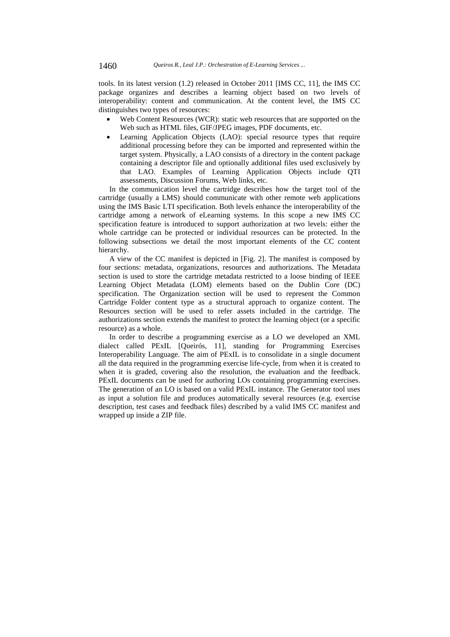tools. In its latest version (1.2) released in October 2011 [IMS CC, 11], the IMS CC package organizes and describes a learning object based on two levels of interoperability: content and communication. At the content level, the IMS CC distinguishes two types of resources:

- Web Content Resources (WCR): static web resources that are supported on the Web such as HTML files, GIF/JPEG images, PDF documents, etc.
- Learning Application Objects (LAO): special resource types that require additional processing before they can be imported and represented within the target system. Physically, a LAO consists of a directory in the content package containing a descriptor file and optionally additional files used exclusively by that LAO. Examples of Learning Application Objects include QTI assessments, Discussion Forums, Web links, etc.

In the communication level the cartridge describes how the target tool of the cartridge (usually a LMS) should communicate with other remote web applications using the IMS Basic LTI specification. Both levels enhance the interoperability of the cartridge among a network of eLearning systems. In this scope a new IMS CC specification feature is introduced to support authorization at two levels: either the whole cartridge can be protected or individual resources can be protected. In the following subsections we detail the most important elements of the CC content hierarchy.

A view of the CC manifest is depicted in [Fig. 2]. The manifest is composed by four sections: metadata, organizations, resources and authorizations. The Metadata section is used to store the cartridge metadata restricted to a loose binding of IEEE Learning Object Metadata (LOM) elements based on the Dublin Core (DC) specification. The Organization section will be used to represent the Common Cartridge Folder content type as a structural approach to organize content. The Resources section will be used to refer assets included in the cartridge. The authorizations section extends the manifest to protect the learning object (or a specific resource) as a whole.

In order to describe a programming exercise as a LO we developed an XML dialect called PExIL [Queirós, 11], standing for Programming Exercises Interoperability Language. The aim of PExIL is to consolidate in a single document all the data required in the programming exercise life-cycle, from when it is created to when it is graded, covering also the resolution, the evaluation and the feedback. PExIL documents can be used for authoring LOs containing programming exercises. The generation of an LO is based on a valid PExIL instance. The Generator tool uses as input a solution file and produces automatically several resources (e.g. exercise description, test cases and feedback files) described by a valid IMS CC manifest and wrapped up inside a ZIP file.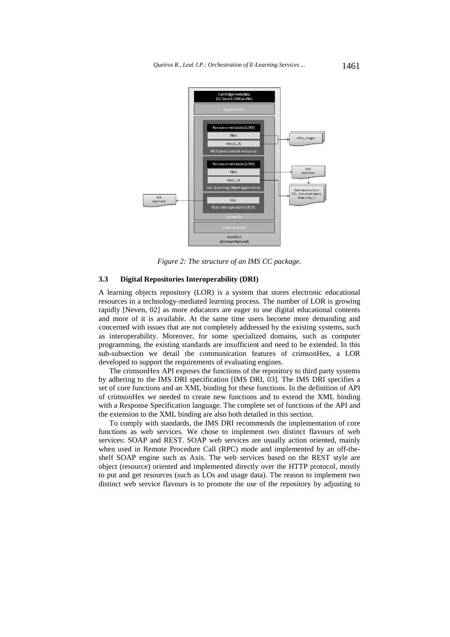

*Figure 2: The structure of an IMS CC package.* 

### **3.3 Digital Repositories Interoperability (DRI)**

A learning objects repository (LOR) is a system that stores electronic educational resources in a technology-mediated learning process. The number of LOR is growing rapidly [Neven, 02] as more educators are eager to use digital educational contents and more of it is available. At the same time users become more demanding and concerned with issues that are not completely addressed by the existing systems, such as interoperability. Moreover, for some specialized domains, such as computer programming, the existing standards are insufficient and need to be extended. In this sub-subsection we detail the communication features of crimsonHex, a LOR developed to support the requirements of evaluating engines.

The crimsonHex API exposes the functions of the repository to third party systems by adhering to the IMS DRI specification [IMS DRI, 03]. The IMS DRI specifies a set of core functions and an XML binding for these functions. In the definition of API of crimsonHex we needed to create new functions and to extend the XML binding with a Response Specification language. The complete set of functions of the API and the extension to the XML binding are also both detailed in this section.

To comply with standards, the IMS DRI recommends the implementation of core functions as web services. We chose to implement two distinct flavours of web services: SOAP and REST. SOAP web services are usually action oriented, mainly when used in Remote Procedure Call (RPC) mode and implemented by an off-theshelf SOAP engine such as Axis. The web services based on the REST style are object (resource) oriented and implemented directly over the HTTP protocol, mostly to put and get resources (such as LOs and usage data). The reason to implement two distinct web service flavours is to promote the use of the repository by adjusting to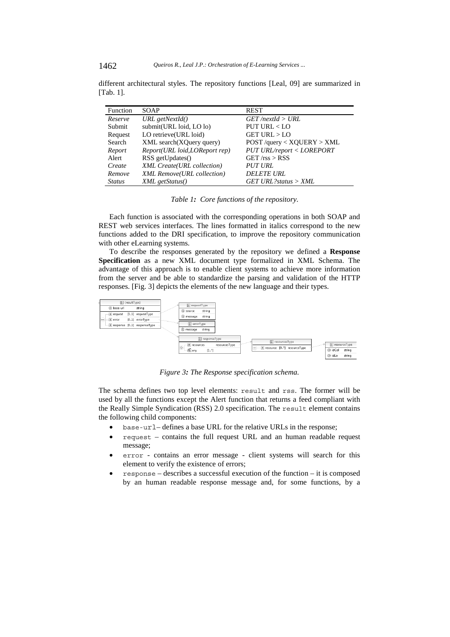| Function      | <b>SOAP</b>                       | <b>REST</b>                     |
|---------------|-----------------------------------|---------------------------------|
| Reserve       | URL getNextId()                   | $GET$ /nextId > URL             |
| Submit        | submit(URL loid, LO lo)           | PUT URL < LO                    |
| Request       | LO retrieve(URL loid)             | $GET \text{ URL} > \text{LO}$   |
| Search        | XML search(XQuery query)          | $POST$ /query < $XQUERY > XML$  |
| Report        | Report(URL loid, LOReport rep)    | PUT URL/report < LOREPORT       |
| Alert         | RSS getUpdates()                  | $GET$ /rss > RSS                |
| Create        | XML Create(URL collection)        | <i>PUT URL</i>                  |
| Remove        | <b>XML</b> Remove(URL collection) | <b>DELETE URL</b>               |
| <i>Status</i> | XML getStatus()                   | $GET \text{ URL?} status > XML$ |

different architectural styles. The repository functions [Leal, 09] are summarized in [Tab. 1].

*Table 1: Core functions of the repository.*

Each function is associated with the corresponding operations in both SOAP and REST web services interfaces. The lines formatted in italics correspond to the new functions added to the DRI specification, to improve the repository communication with other eLearning systems.

To describe the responses generated by the repository we defined a **Response Specification** as a new XML document type formalized in XML Schema. The advantage of this approach is to enable client systems to achieve more information from the server and be able to standardize the parsing and validation of the HTTP responses. [Fig. 3] depicts the elements of the new language and their types.



*Figure 3: The Response specification schema.* 

The schema defines two top level elements: result and rss. The former will be used by all the functions except the Alert function that returns a feed compliant with the Really Simple Syndication (RSS) 2.0 specification. The result element contains the following child components:

- base-url– defines a base URL for the relative URLs in the response;
- request contains the full request URL and an human readable request message;
- error contains an error message client systems will search for this element to verify the existence of errors;
- response describes a successful execution of the function it is composed by an human readable response message and, for some functions, by a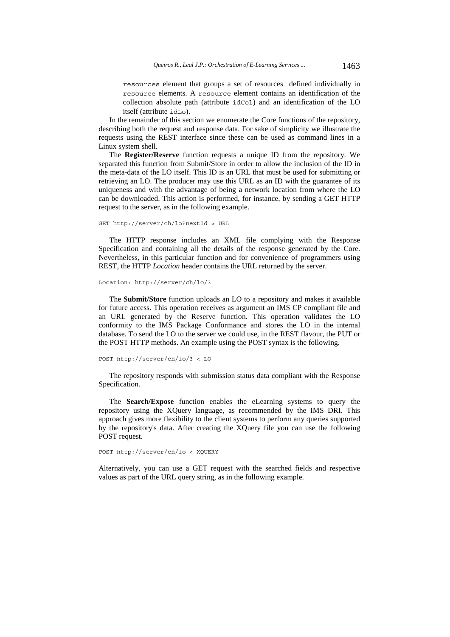resources element that groups a set of resources defined individually in resource elements. A resource element contains an identification of the collection absolute path (attribute idCol) and an identification of the LO itself (attribute idLo).

In the remainder of this section we enumerate the Core functions of the repository, describing both the request and response data. For sake of simplicity we illustrate the requests using the REST interface since these can be used as command lines in a Linux system shell.

The **Register/Reserve** function requests a unique ID from the repository. We separated this function from Submit/Store in order to allow the inclusion of the ID in the meta-data of the LO itself. This ID is an URL that must be used for submitting or retrieving an LO. The producer may use this URL as an ID with the guarantee of its uniqueness and with the advantage of being a network location from where the LO can be downloaded. This action is performed, for instance, by sending a GET HTTP request to the server, as in the following example.

```
GET http://server/ch/lo?nextId > URL
```
The HTTP response includes an XML file complying with the Response Specification and containing all the details of the response generated by the Core. Nevertheless, in this particular function and for convenience of programmers using REST, the HTTP *Location* header contains the URL returned by the server.

```
Location: http://server/ch/lo/3
```
The **Submit/Store** function uploads an LO to a repository and makes it available for future access. This operation receives as argument an IMS CP compliant file and an URL generated by the Reserve function. This operation validates the LO conformity to the IMS Package Conformance and stores the LO in the internal database. To send the LO to the server we could use, in the REST flavour, the PUT or the POST HTTP methods. An example using the POST syntax is the following.

```
POST http://server/ch/lo/3 < LO
```
The repository responds with submission status data compliant with the Response Specification.

The **Search/Expose** function enables the eLearning systems to query the repository using the XQuery language, as recommended by the IMS DRI. This approach gives more flexibility to the client systems to perform any queries supported by the repository's data. After creating the XQuery file you can use the following POST request.

#### POST http://server/ch/lo < XQUERY

Alternatively, you can use a GET request with the searched fields and respective values as part of the URL query string, as in the following example.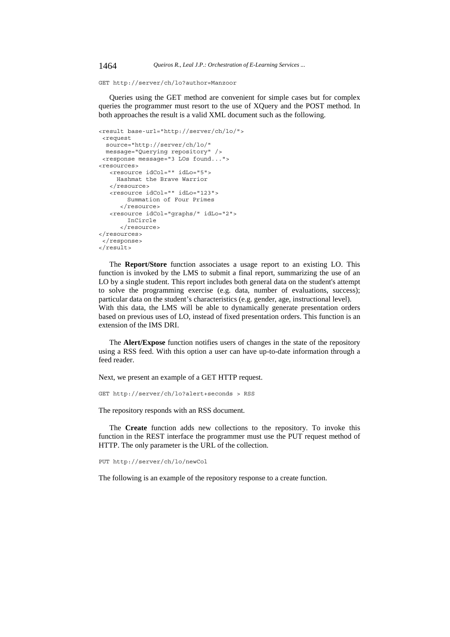GET http://server/ch/lo?author=Manzoor

Queries using the GET method are convenient for simple cases but for complex queries the programmer must resort to the use of XQuery and the POST method. In both approaches the result is a valid XML document such as the following.

```
<result base-url="http://server/ch/lo/"> 
 <request 
  source="http://server/ch/lo/" 
  message="Querying repository" /> 
 <response message="3 LOs found..."> 
<resources> 
   <resource idCol="" idLo="5"> 
     Hashmat the Brave Warrior 
   </resource> 
    <resource idCol="" idLo="123"> 
         Summation of Four Primes 
      </resource> 
    <resource idCol="graphs/" idLo="2"> 
         InCircle 
      </resource>
</resources> 
 </response> 
</result>
```
The **Report/Store** function associates a usage report to an existing LO. This function is invoked by the LMS to submit a final report, summarizing the use of an LO by a single student. This report includes both general data on the student's attempt to solve the programming exercise (e.g. data, number of evaluations, success); particular data on the student's characteristics (e.g. gender, age, instructional level). With this data, the LMS will be able to dynamically generate presentation orders based on previous uses of LO, instead of fixed presentation orders. This function is an extension of the IMS DRI.

The **Alert/Expose** function notifies users of changes in the state of the repository using a RSS feed. With this option a user can have up-to-date information through a feed reader.

Next, we present an example of a GET HTTP request.

GET http://server/ch/lo?alert+seconds > RSS

The repository responds with an RSS document.

The **Create** function adds new collections to the repository. To invoke this function in the REST interface the programmer must use the PUT request method of HTTP. The only parameter is the URL of the collection.

PUT http://server/ch/lo/newCol

The following is an example of the repository response to a create function.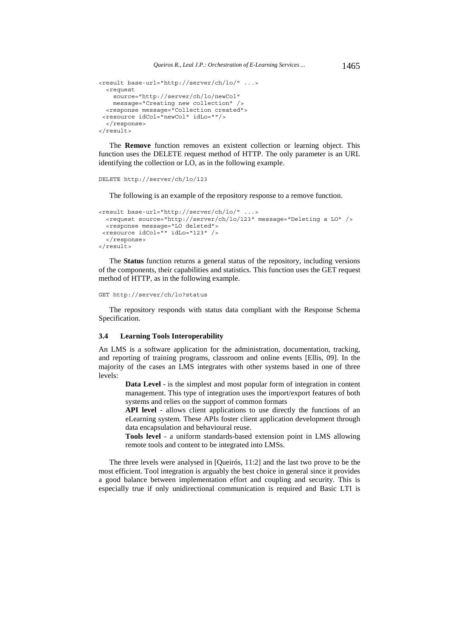```
<result base-url="http://server/ch/lo/" ...> 
  <request 
    source="http://server/ch/lo/newCol" 
    message="Creating new collection" /> 
  <response message="Collection created"> 
 <resource idCol="newCol" idLo=""/> 
   </response> 
</result>
```
The **Remove** function removes an existent collection or learning object. This function uses the DELETE request method of HTTP. The only parameter is an URL identifying the collection or LO, as in the following example.

```
DELETE http://server/ch/lo/123
```
The following is an example of the repository response to a remove function.

```
<result base-url="http://server/ch/lo/" ...> 
  <request source="http://server/ch/lo/123" message="Deleting a LO" /> 
   <response message="LO deleted"> 
 <resource idCol="" idLo="123" /> 
   </response> 
</result>
```
The **Status** function returns a general status of the repository, including versions of the components, their capabilities and statistics. This function uses the GET request method of HTTP, as in the following example.

```
GET http://server/ch/lo?status
```
The repository responds with status data compliant with the Response Schema Specification.

### **3.4 Learning Tools Interoperability**

An LMS is a software application for the administration, documentation, tracking, and reporting of training programs, classroom and online events [Ellis, 09]. In the majority of the cases an LMS integrates with other systems based in one of three levels:

**Data Level** - is the simplest and most popular form of integration in content management. This type of integration uses the import/export features of both systems and relies on the support of common formats

**API level** - allows client applications to use directly the functions of an eLearning system. These APIs foster client application development through data encapsulation and behavioural reuse.

**Tools level** - a uniform standards-based extension point in LMS allowing remote tools and content to be integrated into LMSs.

The three levels were analysed in [Queirós, 11:2] and the last two prove to be the most efficient. Tool integration is arguably the best choice in general since it provides a good balance between implementation effort and coupling and security. This is especially true if only unidirectional communication is required and Basic LTI is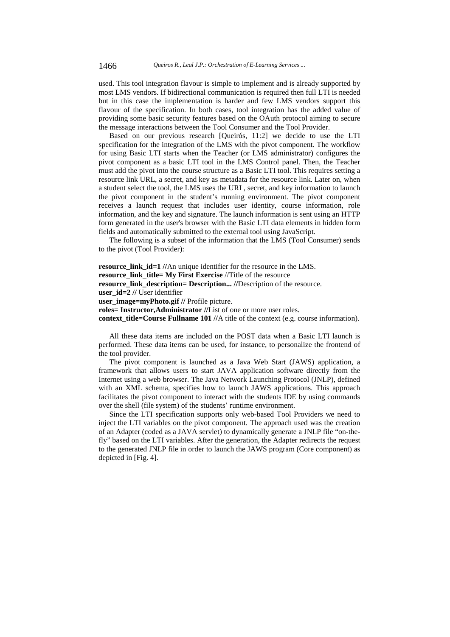used. This tool integration flavour is simple to implement and is already supported by most LMS vendors. If bidirectional communication is required then full LTI is needed but in this case the implementation is harder and few LMS vendors support this flavour of the specification. In both cases, tool integration has the added value of providing some basic security features based on the OAuth protocol aiming to secure the message interactions between the Tool Consumer and the Tool Provider.

Based on our previous research [Queirós, 11:2] we decide to use the LTI specification for the integration of the LMS with the pivot component. The workflow for using Basic LTI starts when the Teacher (or LMS administrator) configures the pivot component as a basic LTI tool in the LMS Control panel. Then, the Teacher must add the pivot into the course structure as a Basic LTI tool. This requires setting a resource link URL, a secret, and key as metadata for the resource link. Later on, when a student select the tool, the LMS uses the URL, secret, and key information to launch the pivot component in the student's running environment. The pivot component receives a launch request that includes user identity, course information, role information, and the key and signature. The launch information is sent using an HTTP form generated in the user's browser with the Basic LTI data elements in hidden form fields and automatically submitted to the external tool using JavaScript.

The following is a subset of the information that the LMS (Tool Consumer) sends to the pivot (Tool Provider):

**resource\_link\_id=1 //**An unique identifier for the resource in the LMS. **resource** link title= My First Exercise //Title of the resource **resource\_link\_description= Description... //**Description of the resource. **user\_id=2 //** User identifier **user** image=myPhoto.gif // Profile picture. **roles= Instructor,Administrator //**List of one or more user roles. **context\_title=Course Fullname 101 //**A title of the context (e.g. course information).

All these data items are included on the POST data when a Basic LTI launch is performed. These data items can be used, for instance, to personalize the frontend of the tool provider.

The pivot component is launched as a Java Web Start (JAWS) application, a framework that allows users to start JAVA application software directly from the Internet using a web browser. The Java Network Launching Protocol (JNLP), defined with an XML schema, specifies how to launch JAWS applications. This approach facilitates the pivot component to interact with the students IDE by using commands over the shell (file system) of the students' runtime environment.

Since the LTI specification supports only web-based Tool Providers we need to inject the LTI variables on the pivot component. The approach used was the creation of an Adapter (coded as a JAVA servlet) to dynamically generate a JNLP file "on-thefly" based on the LTI variables. After the generation, the Adapter redirects the request to the generated JNLP file in order to launch the JAWS program (Core component) as depicted in [Fig. 4].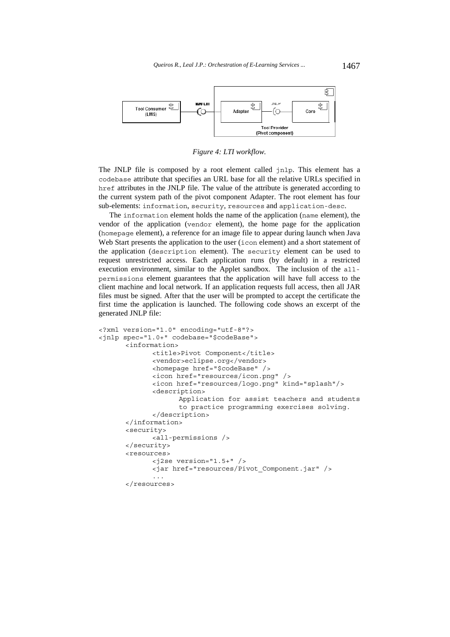

*Figure 4: LTI workflow.* 

The JNLP file is composed by a root element called jnlp. This element has a codebase attribute that specifies an URL base for all the relative URLs specified in href attributes in the JNLP file. The value of the attribute is generated according to the current system path of the pivot component Adapter. The root element has four sub-elements: information, security, resources and application-desc.

The information element holds the name of the application (name element), the vendor of the application (vendor element), the home page for the application (homepage element), a reference for an image file to appear during launch when Java Web Start presents the application to the user (icon element) and a short statement of the application (description element). The security element can be used to request unrestricted access. Each application runs (by default) in a restricted execution environment, similar to the Applet sandbox. The inclusion of the allpermissions element guarantees that the application will have full access to the client machine and local network. If an application requests full access, then all JAR files must be signed. After that the user will be prompted to accept the certificate the first time the application is launched. The following code shows an excerpt of the generated JNLP file:

```
<?xml version="1.0" encoding="utf-8"?> 
<jnlp spec="1.0+" codebase="$codeBase"> 
       <information> 
              <title>Pivot Component</title> 
              <vendor>eclipse.org</vendor> 
              <homepage href="$codeBase" /> 
              <icon href="resources/icon.png" /> 
              <icon href="resources/logo.png" kind="splash"/> 
             <description> 
                    Application for assist teachers and students 
                    to practice programming exercises solving. 
             </description> 
       </information> 
       <security> 
              <all-permissions /> 
       </security> 
       <resources> 
              <j2se version="1.5+" /> 
              <jar href="resources/Pivot_Component.jar" /> 
 ... 
       </resources>
```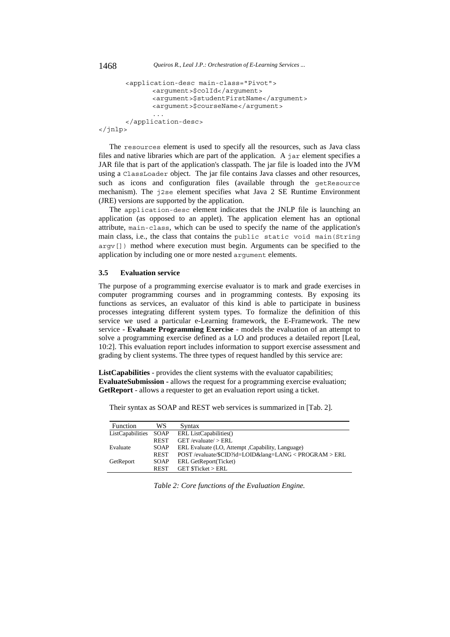```
 <application-desc main-class="Pivot"> 
              <argument>$colId</argument> 
              <argument>$studentFirstName</argument> 
              <argument>$courseName</argument> 
 ... 
       </application-desc> 
</jnlp>
```
The resources element is used to specify all the resources, such as Java class files and native libraries which are part of the application. A jar element specifies a JAR file that is part of the application's classpath. The jar file is loaded into the JVM using a ClassLoader object. The jar file contains Java classes and other resources, such as icons and configuration files (available through the getResource mechanism). The j2se element specifies what Java 2 SE Runtime Environment (JRE) versions are supported by the application.

The application-desc element indicates that the JNLP file is launching an application (as opposed to an applet). The application element has an optional attribute, main-class, which can be used to specify the name of the application's main class, i.e., the class that contains the public static void main (String argv[]) method where execution must begin. Arguments can be specified to the application by including one or more nested argument elements.

## **3.5 Evaluation service**

The purpose of a programming exercise evaluator is to mark and grade exercises in computer programming courses and in programming contests. By exposing its functions as services, an evaluator of this kind is able to participate in business processes integrating different system types. To formalize the definition of this service we used a particular e-Learning framework, the E-Framework. The new service - **Evaluate Programming Exercise** - models the evaluation of an attempt to solve a programming exercise defined as a LO and produces a detailed report [Leal, 10:2]. This evaluation report includes information to support exercise assessment and grading by client systems. The three types of request handled by this service are:

**ListCapabilities** - provides the client systems with the evaluator capabilities; **EvaluateSubmission -** allows the request for a programming exercise evaluation; **GetReport** - allows a requester to get an evaluation report using a ticket.

| Function         | WS          | Syntax                                            |
|------------------|-------------|---------------------------------------------------|
| ListCapabilities | SOAP        | ERL ListCapabilities()                            |
|                  | <b>REST</b> | $GET$ /evaluate/ $>$ ERL                          |
| Evaluate         | <b>SOAP</b> | ERL Evaluate (LO, Attempt , Capability, Language) |
|                  | <b>REST</b> | POST/evaluate/\$CID?id=LOID⟨=LANG < PROGRAM > ERL |
| GetReport        | <b>SOAP</b> | ERL GetReport(Ticket)                             |
|                  | <b>REST</b> | <b>GET \$Ticket &gt; ERL</b>                      |

Their syntax as SOAP and REST web services is summarized in [Tab. 2].

*Table 2: Core functions of the Evaluation Engine.*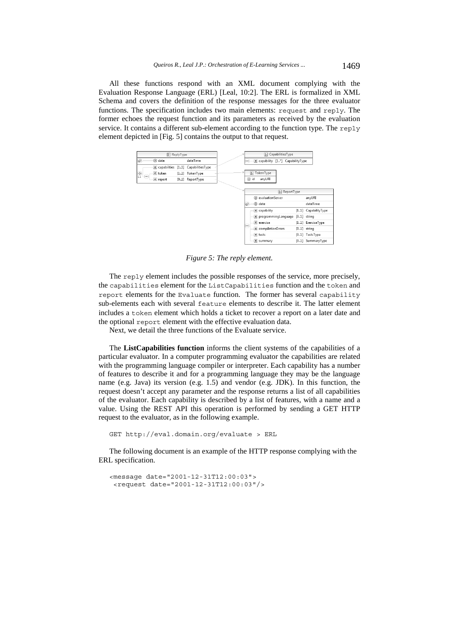All these functions respond with an XML document complying with the Evaluation Response Language (ERL) [Leal, 10:2]. The ERL is formalized in XML Schema and covers the definition of the response messages for the three evaluator functions. The specification includes two main elements: request and reply. The former echoes the request function and its parameters as received by the evaluation service. It contains a different sub-element according to the function type. The reply element depicted in [Fig. 5] contains the output to that request.

| & ReplyType             |          |  |                                      |  | <b>&amp;</b> CapabilitiesType |                                   |  |                     |
|-------------------------|----------|--|--------------------------------------|--|-------------------------------|-----------------------------------|--|---------------------|
| $\overline{\mathbf{Q}}$ | a date   |  | dateTime                             |  |                               | e capability [1*] CapabilityType  |  |                     |
|                         |          |  | e capabilities [11] CapabilitiesType |  |                               |                                   |  |                     |
| $\frac{1}{11}$          | e token  |  | [11] TokenType                       |  | $\left  \frac{9}{8} \right $  | TokenType                         |  |                     |
| 1000                    | e report |  | [01] ReportType                      |  | a id                          | anyURI                            |  |                     |
|                         |          |  |                                      |  |                               |                                   |  |                     |
|                         |          |  |                                      |  |                               | 图 ReportType                      |  |                     |
|                         |          |  |                                      |  |                               | a evaluationServer                |  | anyURI              |
|                         |          |  |                                      |  | ெ                             | a date                            |  | dateTime            |
|                         |          |  |                                      |  |                               | e capability                      |  | [11] CapabilityType |
|                         |          |  |                                      |  |                               | e programmingLanguage [01] string |  |                     |
|                         |          |  |                                      |  | lowel.                        | e exercise                        |  | [11] ExerciseType   |
|                         |          |  |                                      |  |                               | e compilationErrors               |  | $[0.1]$ string      |
|                         |          |  |                                      |  |                               | e tests                           |  | [01] TestsType      |
|                         |          |  |                                      |  |                               | e summary                         |  | [01] SummaryTyne    |

*Figure 5: The reply element.* 

The reply element includes the possible responses of the service, more precisely, the capabilities element for the ListCapabilities function and the token and report elements for the Evaluate function. The former has several capability sub-elements each with several feature elements to describe it. The latter element includes a token element which holds a ticket to recover a report on a later date and the optional report element with the effective evaluation data.

Next, we detail the three functions of the Evaluate service.

The **ListCapabilities function** informs the client systems of the capabilities of a particular evaluator. In a computer programming evaluator the capabilities are related with the programming language compiler or interpreter. Each capability has a number of features to describe it and for a programming language they may be the language name (e.g. Java) its version (e.g. 1.5) and vendor (e.g. JDK). In this function, the request doesn't accept any parameter and the response returns a list of all capabilities of the evaluator. Each capability is described by a list of features, with a name and a value. Using the REST API this operation is performed by sending a GET HTTP request to the evaluator, as in the following example.

```
GET http://eval.domain.org/evaluate > ERL
```
The following document is an example of the HTTP response complying with the ERL specification.

```
<message date="2001-12-31T12:00:03"> 
  <request date="2001-12-31T12:00:03"/>
```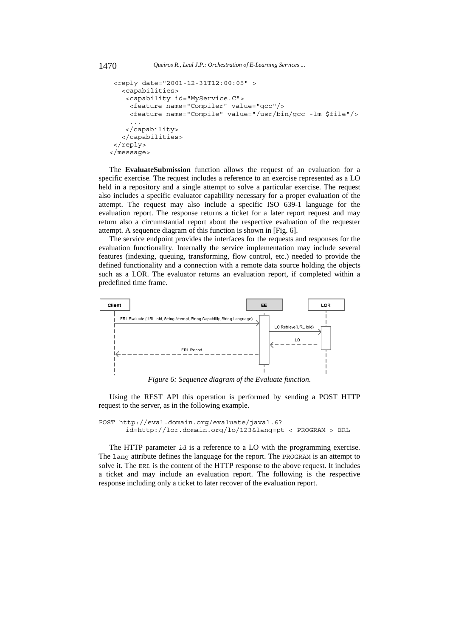```
 <reply date="2001-12-31T12:00:05" > 
    <capabilities> 
     <capability id="MyService.C"> 
      <feature name="Compiler" value="gcc"/> 
      <feature name="Compile" value="/usr/bin/gcc -lm $file"/> 
 ... 
     </capability> 
    </capabilities> 
  </reply> 
</message>
```
The **EvaluateSubmission** function allows the request of an evaluation for a specific exercise. The request includes a reference to an exercise represented as a LO held in a repository and a single attempt to solve a particular exercise. The request also includes a specific evaluator capability necessary for a proper evaluation of the attempt. The request may also include a specific ISO 639-1 language for the evaluation report. The response returns a ticket for a later report request and may return also a circumstantial report about the respective evaluation of the requester attempt. A sequence diagram of this function is shown in [Fig. 6].

The service endpoint provides the interfaces for the requests and responses for the evaluation functionality. Internally the service implementation may include several features (indexing, queuing, transforming, flow control, etc.) needed to provide the defined functionality and a connection with a remote data source holding the objects such as a LOR. The evaluator returns an evaluation report, if completed within a predefined time frame.



*Figure 6: Sequence diagram of the Evaluate function.* 

Using the REST API this operation is performed by sending a POST HTTP request to the server, as in the following example.

```
POST http://eval.domain.org/evaluate/java1.6? 
      id=http://lor.domain.org/lo/123&lang=pt < PROGRAM > ERL
```
The HTTP parameter id is a reference to a LO with the programming exercise. The lang attribute defines the language for the report. The PROGRAM is an attempt to solve it. The ERL is the content of the HTTP response to the above request. It includes a ticket and may include an evaluation report. The following is the respective response including only a ticket to later recover of the evaluation report.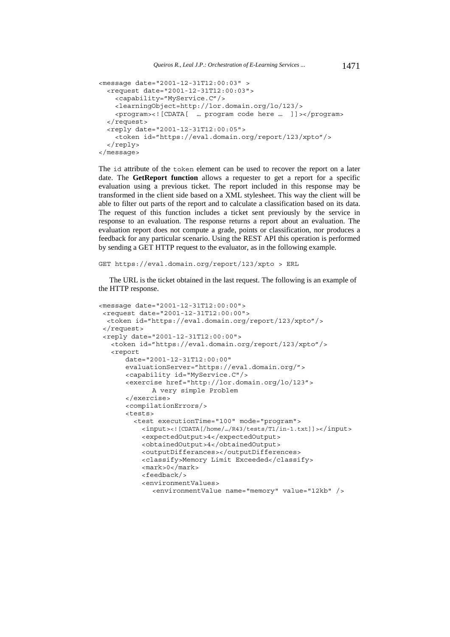```
<message date="2001-12-31T12:00:03" > 
  <request date="2001-12-31T12:00:03"> 
     <capability="MyService.C"/> 
     <learningObject=http://lor.domain.org/lo/123/> 
     <program><![CDATA[ … program code here … ]]></program> 
  </request> 
  <reply date="2001-12-31T12:00:05"> 
     <token id="https://eval.domain.org/report/123/xpto"/> 
  </reply> 
</message>
```
The id attribute of the token element can be used to recover the report on a later date. The **GetReport function** allows a requester to get a report for a specific evaluation using a previous ticket. The report included in this response may be transformed in the client side based on a XML stylesheet. This way the client will be able to filter out parts of the report and to calculate a classification based on its data. The request of this function includes a ticket sent previously by the service in response to an evaluation. The response returns a report about an evaluation. The evaluation report does not compute a grade, points or classification, nor produces a feedback for any particular scenario. Using the REST API this operation is performed by sending a GET HTTP request to the evaluator, as in the following example.

GET https://eval.domain.org/report/123/xpto > ERL

The URL is the ticket obtained in the last request. The following is an example of the HTTP response.

```
<message date="2001-12-31T12:00:00"> 
 <request date="2001-12-31T12:00:00"> 
  <token id="https://eval.domain.org/report/123/xpto"/> 
 </request> 
 <reply date="2001-12-31T12:00:00"> 
    <token id="https://eval.domain.org/report/123/xpto"/> 
    <report 
      date="2001-12-31T12:00:00" 
      evaluationServer="https://eval.domain.org/"> 
      <capability id="MyService.C"/> 
       <exercise href="http://lor.domain.org/lo/123"> 
              A very simple Problem 
      </exercise> 
      <compilationErrors/> 
       <tests> 
         <test executionTime="100" mode="program"> 
            <input><![CDATA[/home/…/R43/tests/T1/in-1.txt]]></input> 
            <expectedOutput>4</expectedOutput> 
            <obtainedOutput>4</obtainedOutput> 
            <outputDifferances></outputDifferences> 
            <classify>Memory Limit Exceeded</classify> 
           <mark>0</mark>
            <feedback/> 
            <environmentValues> 
              <environmentValue name="memory" value="12kb" />
```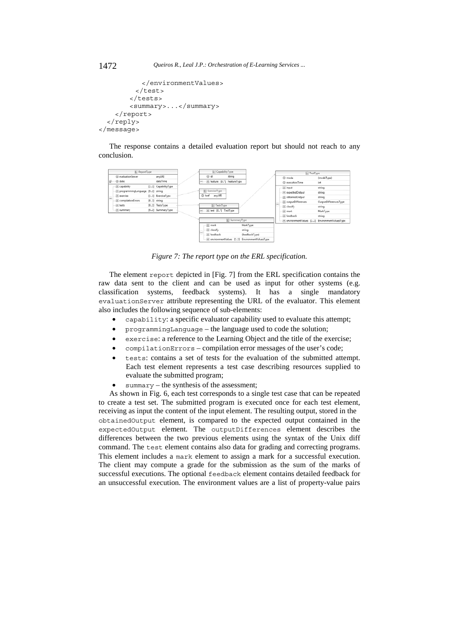```
 </environmentValues> 
           </test> 
         </tests> 
          <summary>...</summary> 
     </report> 
   </reply> 
</message>
```
The response contains a detailed evaluation report but should not reach to any conclusion.



*Figure 7: The report type on the ERL specification.* 

The element report depicted in [Fig. 7] from the ERL specification contains the raw data sent to the client and can be used as input for other systems (e.g. classification systems, feedback systems). It has a single mandatory evaluationServer attribute representing the URL of the evaluator. This element also includes the following sequence of sub-elements:

- capability: a specific evaluator capability used to evaluate this attempt;
- programmingLanguage the language used to code the solution;
- exercise: a reference to the Learning Object and the title of the exercise;
- compilationErrors compilation error messages of the user's code;
- tests: contains a set of tests for the evaluation of the submitted attempt. Each test element represents a test case describing resources supplied to evaluate the submitted program;
- summary the synthesis of the assessment;

As shown in Fig. 6, each test corresponds to a single test case that can be repeated to create a test set. The submitted program is executed once for each test element, receiving as input the content of the input element. The resulting output, stored in the obtainedOutput element, is compared to the expected output contained in the expectedOutput element. The outputDifferences element describes the differences between the two previous elements using the syntax of the Unix diff command. The test element contains also data for grading and correcting programs. This element includes a mark element to assign a mark for a successful execution. The client may compute a grade for the submission as the sum of the marks of successful executions. The optional feedback element contains detailed feedback for an unsuccessful execution. The environment values are a list of property-value pairs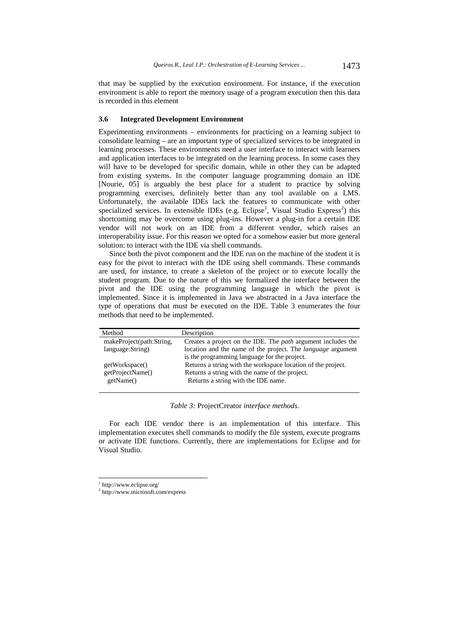that may be supplied by the execution environment. For instance, if the execution environment is able to report the memory usage of a program execution then this data is recorded in this element

#### **3.6 Integrated Development Environment**

Experimenting environments – environments for practicing on a learning subject to consolidate learning – are an important type of specialized services to be integrated in learning processes. These environments need a user interface to interact with learners and application interfaces to be integrated on the learning process. In some cases they will have to be developed for specific domain, while in other they can be adapted from existing systems. In the computer language programming domain an IDE [Nourie, 05] is arguably the best place for a student to practice by solving programming exercises, definitely better than any tool available on a LMS. Unfortunately, the available IDEs lack the features to communicate with other specialized services. In extensible IDEs (e.g. Eclipse<sup>1</sup>, Visual Studio Express<sup>2</sup>) this shortcoming may be overcome using plug-ins. However a plug-in for a certain IDE vendor will not work on an IDE from a different vendor, which raises an interoperability issue. For this reason we opted for a somehow easier but more general solution: to interact with the IDE via shell commands.

Since both the pivot component and the IDE run on the machine of the student it is easy for the pivot to interact with the IDE using shell commands. These commands are used, for instance, to create a skeleton of the project or to execute locally the student program. Due to the nature of this we formalized the interface between the pivot and the IDE using the programming language in which the pivot is implemented. Since it is implemented in Java we abstracted in a Java interface the type of operations that must be executed on the IDE. Table 3 enumerates the four methods that need to be implemented.

| Description                                                         |
|---------------------------------------------------------------------|
| Creates a project on the IDE. The <i>path</i> argument includes the |
| location and the name of the project. The language argument         |
| is the programming language for the project.                        |
| Returns a string with the workspace location of the project.        |
| Returns a string with the name of the project.                      |
| Returns a string with the IDE name.                                 |
|                                                                     |

*Table 3:* ProjectCreator *interface methods.*

For each IDE vendor there is an implementation of this interface. This implementation executes shell commands to modify the file system, execute programs or activate IDE functions. Currently, there are implementations for Eclipse and for Visual Studio.

l

<sup>1</sup> http://www.eclipse.org/

<sup>2</sup> http://www.microsoft.com/express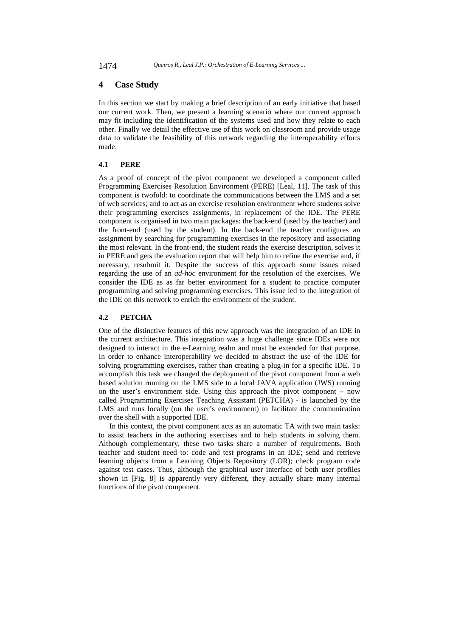## **4 Case Study**

In this section we start by making a brief description of an early initiative that based our current work. Then, we present a learning scenario where our current approach may fit including the identification of the systems used and how they relate to each other. Finally we detail the effective use of this work on classroom and provide usage data to validate the feasibility of this network regarding the interoperability efforts made.

## **4.1 PERE**

As a proof of concept of the pivot component we developed a component called Programming Exercises Resolution Environment (PERE) [Leal, 11]. The task of this component is twofold: to coordinate the communications between the LMS and a set of web services; and to act as an exercise resolution environment where students solve their programming exercises assignments, in replacement of the IDE. The PERE component is organised in two main packages: the back-end (used by the teacher) and the front-end (used by the student). In the back-end the teacher configures an assignment by searching for programming exercises in the repository and associating the most relevant. In the front-end, the student reads the exercise description, solves it in PERE and gets the evaluation report that will help him to refine the exercise and, if necessary, resubmit it. Despite the success of this approach some issues raised regarding the use of an *ad-hoc* environment for the resolution of the exercises. We consider the IDE as as far better environment for a student to practice computer programming and solving programming exercises. This issue led to the integration of the IDE on this network to enrich the environment of the student.

### **4.2 PETCHA**

One of the distinctive features of this new approach was the integration of an IDE in the current architecture. This integration was a huge challenge since IDEs were not designed to interact in the e-Learning realm and must be extended for that purpose. In order to enhance interoperability we decided to abstract the use of the IDE for solving programming exercises, rather than creating a plug-in for a specific IDE. To accomplish this task we changed the deployment of the pivot component from a web based solution running on the LMS side to a local JAVA application (JWS) running on the user's environment side. Using this approach the pivot component – now called Programming Exercises Teaching Assistant (PETCHA) - is launched by the LMS and runs locally (on the user's environment) to facilitate the communication over the shell with a supported IDE.

In this context, the pivot component acts as an automatic TA with two main tasks: to assist teachers in the authoring exercises and to help students in solving them. Although complementary, these two tasks share a number of requirements. Both teacher and student need to: code and test programs in an IDE; send and retrieve learning objects from a Learning Objects Repository (LOR); check program code against test cases. Thus, although the graphical user interface of both user profiles shown in [Fig. 8] is apparently very different, they actually share many internal functions of the pivot component.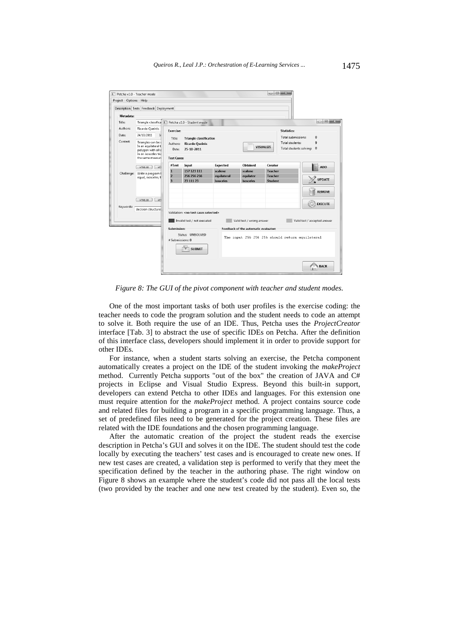

*Figure 8: The GUI of the pivot component with teacher and student modes.* 

One of the most important tasks of both user profiles is the exercise coding: the teacher needs to code the program solution and the student needs to code an attempt to solve it. Both require the use of an IDE. Thus, Petcha uses the *ProjectCreator* interface [Tab. 3] to abstract the use of specific IDEs on Petcha. After the definition of this interface class, developers should implement it in order to provide support for other IDEs.

For instance, when a student starts solving an exercise, the Petcha component automatically creates a project on the IDE of the student invoking the *makeProject* method. Currently Petcha supports "out of the box" the creation of JAVA and C# projects in Eclipse and Visual Studio Express. Beyond this built-in support, developers can extend Petcha to other IDEs and languages. For this extension one must require attention for the *makeProject* method. A project contains source code and related files for building a program in a specific programming language. Thus, a set of predefined files need to be generated for the project creation. These files are related with the IDE foundations and the chosen programming language.

After the automatic creation of the project the student reads the exercise description in Petcha's GUI and solves it on the IDE. The student should test the code locally by executing the teachers' test cases and is encouraged to create new ones. If new test cases are created, a validation step is performed to verify that they meet the specification defined by the teacher in the authoring phase. The right window on Figure 8 shows an example where the student's code did not pass all the local tests (two provided by the teacher and one new test created by the student). Even so, the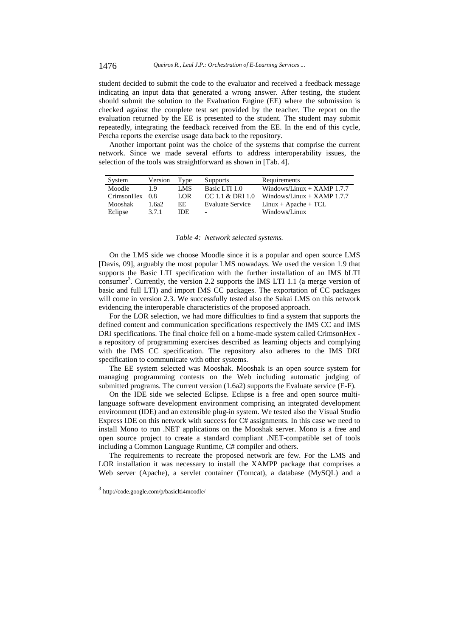student decided to submit the code to the evaluator and received a feedback message indicating an input data that generated a wrong answer. After testing, the student should submit the solution to the Evaluation Engine (EE) where the submission is checked against the complete test set provided by the teacher. The report on the evaluation returned by the EE is presented to the student. The student may submit repeatedly, integrating the feedback received from the EE. In the end of this cycle, Petcha reports the exercise usage data back to the repository.

Another important point was the choice of the systems that comprise the current network. Since we made several efforts to address interoperability issues, the selection of the tools was straightforward as shown in [Tab. 4].

| System         | Version | Type | <b>Supports</b>          | Requirements                 |
|----------------|---------|------|--------------------------|------------------------------|
| Moodle         | 1.9     | LMS  | Basic LTI 1.0            | Windows/Linux $+$ XAMP 1.7.7 |
| CrimsonHex 0.8 |         | LOR  | CC 1.1 & DRI 1.0         | Windows/Linux $+$ XAMP 1.7.7 |
| Mooshak        | 1.6a2   | EE.  | <b>Evaluate Service</b>  | $Linux + Apache + TCL$       |
| Eclipse        | 3.7.1   | IDE. | $\overline{\phantom{a}}$ | Windows/Linux                |
|                |         |      |                          |                              |

*Table 4: Network selected systems.*

On the LMS side we choose Moodle since it is a popular and open source LMS [Davis, 09], arguably the most popular LMS nowadays. We used the version 1.9 that supports the Basic LTI specification with the further installation of an IMS bLTI consumer<sup>3</sup>. Currently, the version 2.2 supports the IMS LTI 1.1 (a merge version of basic and full LTI) and import IMS CC packages. The exportation of CC packages will come in version 2.3. We successfully tested also the Sakai LMS on this network evidencing the interoperable characteristics of the proposed approach.

For the LOR selection, we had more difficulties to find a system that supports the defined content and communication specifications respectively the IMS CC and IMS DRI specifications. The final choice fell on a home-made system called CrimsonHex a repository of programming exercises described as learning objects and complying with the IMS CC specification. The repository also adheres to the IMS DRI specification to communicate with other systems.

The EE system selected was Mooshak. Mooshak is an open source system for managing programming contests on the Web including automatic judging of submitted programs. The current version (1.6a2) supports the Evaluate service (E-F).

On the IDE side we selected Eclipse. Eclipse is a free and open source multilanguage software development environment comprising an integrated development environment (IDE) and an extensible plug-in system. We tested also the Visual Studio Express IDE on this network with success for C# assignments. In this case we need to install Mono to run .NET applications on the Mooshak server. Mono is a free and open source project to create a standard compliant .NET-compatible set of tools including a Common Language Runtime, C# compiler and others.

The requirements to recreate the proposed network are few. For the LMS and LOR installation it was necessary to install the XAMPP package that comprises a Web server (Apache), a servlet container (Tomcat), a database (MySQL) and a

l

<sup>3</sup> http://code.google.com/p/basiclti4moodle/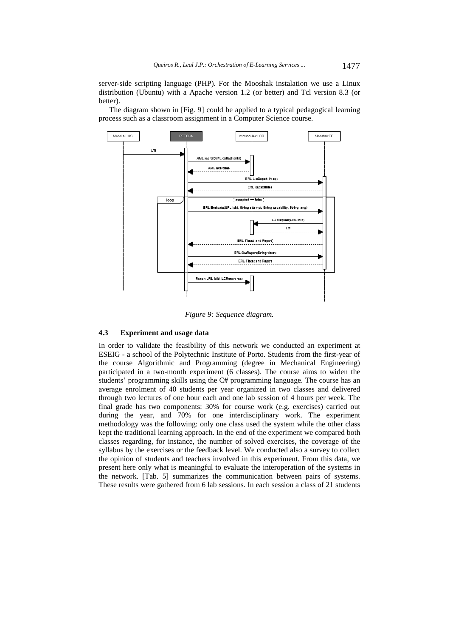server-side scripting language (PHP). For the Mooshak instalation we use a Linux distribution (Ubuntu) with a Apache version 1.2 (or better) and Tcl version 8.3 (or better).

The diagram shown in [Fig. 9] could be applied to a typical pedagogical learning process such as a classroom assignment in a Computer Science course.



*Figure 9: Sequence diagram.* 

#### **4.3 Experiment and usage data**

In order to validate the feasibility of this network we conducted an experiment at ESEIG - a school of the Polytechnic Institute of Porto. Students from the first-year of the course Algorithmic and Programming (degree in Mechanical Engineering) participated in a two-month experiment (6 classes). The course aims to widen the students' programming skills using the C# programming language. The course has an average enrolment of 40 students per year organized in two classes and delivered through two lectures of one hour each and one lab session of 4 hours per week. The final grade has two components: 30% for course work (e.g. exercises) carried out during the year, and 70% for one interdisciplinary work. The experiment methodology was the following: only one class used the system while the other class kept the traditional learning approach. In the end of the experiment we compared both classes regarding, for instance, the number of solved exercises, the coverage of the syllabus by the exercises or the feedback level. We conducted also a survey to collect the opinion of students and teachers involved in this experiment. From this data, we present here only what is meaningful to evaluate the interoperation of the systems in the network. [Tab. 5] summarizes the communication between pairs of systems. These results were gathered from 6 lab sessions. In each session a class of 21 students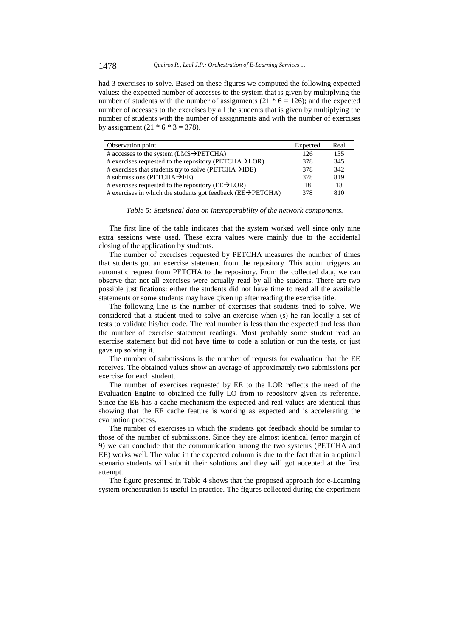had 3 exercises to solve. Based on these figures we computed the following expected values: the expected number of accesses to the system that is given by multiplying the number of students with the number of assignments  $(21 * 6 = 126)$ ; and the expected number of accesses to the exercises by all the students that is given by multiplying the number of students with the number of assignments and with the number of exercises by assignment  $(21 * 6 * 3 = 378)$ .

| Observation point                                                         | Expected | Real |
|---------------------------------------------------------------------------|----------|------|
| # accesses to the system $(LMS \rightarrow PETCHA)$                       | 126      | 135  |
| # exercises requested to the repository (PETCHA $\rightarrow$ LOR)        | 378      | 345  |
| # exercises that students try to solve (PETCHA $\rightarrow$ IDE)         | 378      | 342  |
| # submissions (PETCHA $\rightarrow$ EE)                                   | 378      | 819  |
| # exercises requested to the repository ( $EE\rightarrow LOR$ )           | 18       | 18   |
| # exercises in which the students got feedback ( $EE\rightarrow PETCHA$ ) | 378      | 810  |

*Table 5: Statistical data on interoperability of the network components.* 

The first line of the table indicates that the system worked well since only nine extra sessions were used. These extra values were mainly due to the accidental closing of the application by students.

The number of exercises requested by PETCHA measures the number of times that students got an exercise statement from the repository. This action triggers an automatic request from PETCHA to the repository. From the collected data, we can observe that not all exercises were actually read by all the students. There are two possible justifications: either the students did not have time to read all the available statements or some students may have given up after reading the exercise title.

The following line is the number of exercises that students tried to solve. We considered that a student tried to solve an exercise when (s) he ran locally a set of tests to validate his/her code. The real number is less than the expected and less than the number of exercise statement readings. Most probably some student read an exercise statement but did not have time to code a solution or run the tests, or just gave up solving it.

The number of submissions is the number of requests for evaluation that the EE receives. The obtained values show an average of approximately two submissions per exercise for each student.

The number of exercises requested by EE to the LOR reflects the need of the Evaluation Engine to obtained the fully LO from to repository given its reference. Since the EE has a cache mechanism the expected and real values are identical thus showing that the EE cache feature is working as expected and is accelerating the evaluation process.

The number of exercises in which the students got feedback should be similar to those of the number of submissions. Since they are almost identical (error margin of 9) we can conclude that the communication among the two systems (PETCHA and EE) works well. The value in the expected column is due to the fact that in a optimal scenario students will submit their solutions and they will got accepted at the first attempt.

The figure presented in Table 4 shows that the proposed approach for e-Learning system orchestration is useful in practice. The figures collected during the experiment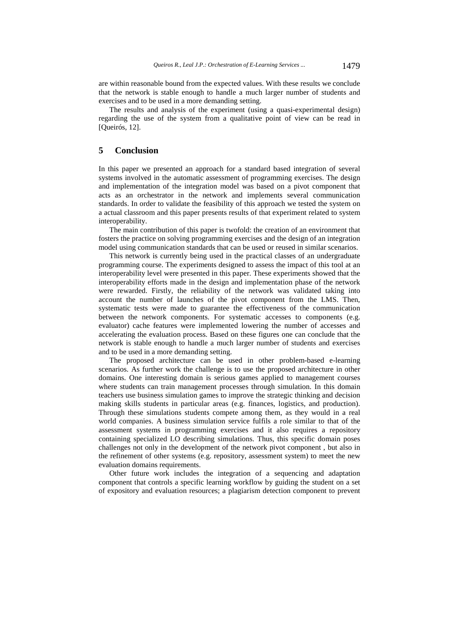are within reasonable bound from the expected values. With these results we conclude that the network is stable enough to handle a much larger number of students and exercises and to be used in a more demanding setting.

The results and analysis of the experiment (using a quasi-experimental design) regarding the use of the system from a qualitative point of view can be read in [Queirós, 12].

## **5 Conclusion**

In this paper we presented an approach for a standard based integration of several systems involved in the automatic assessment of programming exercises. The design and implementation of the integration model was based on a pivot component that acts as an orchestrator in the network and implements several communication standards. In order to validate the feasibility of this approach we tested the system on a actual classroom and this paper presents results of that experiment related to system interoperability.

The main contribution of this paper is twofold: the creation of an environment that fosters the practice on solving programming exercises and the design of an integration model using communication standards that can be used or reused in similar scenarios.

This network is currently being used in the practical classes of an undergraduate programming course. The experiments designed to assess the impact of this tool at an interoperability level were presented in this paper. These experiments showed that the interoperability efforts made in the design and implementation phase of the network were rewarded. Firstly, the reliability of the network was validated taking into account the number of launches of the pivot component from the LMS. Then, systematic tests were made to guarantee the effectiveness of the communication between the network components. For systematic accesses to components (e.g. evaluator) cache features were implemented lowering the number of accesses and accelerating the evaluation process. Based on these figures one can conclude that the network is stable enough to handle a much larger number of students and exercises and to be used in a more demanding setting.

The proposed architecture can be used in other problem-based e-learning scenarios. As further work the challenge is to use the proposed architecture in other domains. One interesting domain is serious games applied to management courses where students can train management processes through simulation. In this domain teachers use business simulation games to improve the strategic thinking and decision making skills students in particular areas (e.g. finances, logistics, and production). Through these simulations students compete among them, as they would in a real world companies. A business simulation service fulfils a role similar to that of the assessment systems in programming exercises and it also requires a repository containing specialized LO describing simulations. Thus, this specific domain poses challenges not only in the development of the network pivot component , but also in the refinement of other systems (e.g. repository, assessment system) to meet the new evaluation domains requirements.

Other future work includes the integration of a sequencing and adaptation component that controls a specific learning workflow by guiding the student on a set of expository and evaluation resources; a plagiarism detection component to prevent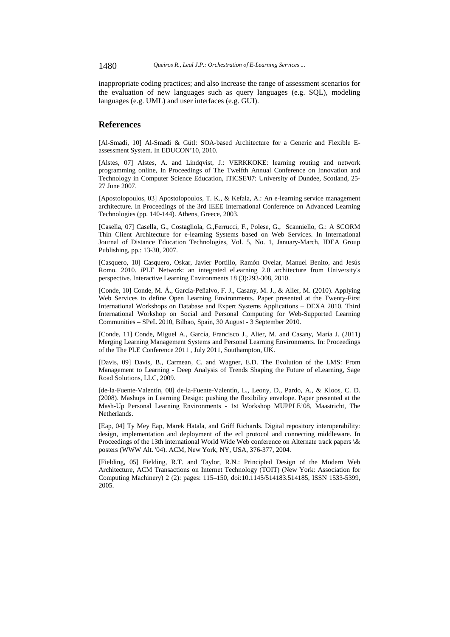1480 *Queiros R., Leal J.P.: Orchestration of E-Learning Services ...*

inappropriate coding practices; and also increase the range of assessment scenarios for the evaluation of new languages such as query languages (e.g. SQL), modeling languages (e.g. UML) and user interfaces (e.g. GUI).

## **References**

[Al-Smadi, 10] Al-Smadi & Gütl: SOA-based Architecture for a Generic and Flexible Eassessment System. In EDUCON'10, 2010.

[Alstes, 07] Alstes, A. and Lindqvist, J.: VERKKOKE: learning routing and network programming online, In Proceedings of The Twelfth Annual Conference on Innovation and Technology in Computer Science Education, ITiCSE'07: University of Dundee, Scotland, 25- 27 June 2007.

[Apostolopoulos, 03] Apostolopoulos, T. K., & Kefala, A.: An e-learning service management architecture. In Proceedings of the 3rd IEEE International Conference on Advanced Learning Technologies (pp. 140-144). Athens, Greece, 2003.

[Casella, 07] Casella, G., Costagliola, G.,Ferrucci, F., Polese, G., Scanniello, G.: A SCORM Thin Client Architecture for e-learning Systems based on Web Services. In International Journal of Distance Education Technologies, Vol. 5, No. 1, January-March, IDEA Group Publishing, pp.: 13-30, 2007.

[Casquero, 10] Casquero, Oskar, Javier Portillo, Ramón Ovelar, Manuel Benito, and Jesús Romo. 2010. iPLE Network: an integrated eLearning 2.0 architecture from University's perspective. Interactive Learning Environments 18 (3):293-308, 2010.

[Conde, 10] Conde, M. Á., García-Peñalvo, F. J., Casany, M. J., & Alier, M. (2010). Applying Web Services to define Open Learning Environments. Paper presented at the Twenty-First International Workshops on Database and Expert Systems Applications – DEXA 2010. Third International Workshop on Social and Personal Computing for Web-Supported Learning Communities – SPeL 2010, Bilbao, Spain, 30 August - 3 September 2010.

[Conde, 11] Conde, Miguel A., García, Francisco J., Alier, M. and Casany, María J. (2011) Merging Learning Management Systems and Personal Learning Environments. In: Proceedings of the The PLE Conference 2011 , July 2011, Southampton, UK.

[Davis, 09] Davis, B., Carmean, C. and Wagner, E.D. The Evolution of the LMS: From Management to Learning - Deep Analysis of Trends Shaping the Future of eLearning, Sage Road Solutions, LLC, 2009.

[de-la-Fuente-Valentín, 08] de-la-Fuente-Valentín, L., Leony, D., Pardo, A., & Kloos, C. D. (2008). Mashups in Learning Design: pushing the flexibility envelope. Paper presented at the Mash-Up Personal Learning Environments - 1st Workshop MUPPLE'08, Maastricht, The Netherlands.

[Eap, 04] Ty Mey Eap, Marek Hatala, and Griff Richards. Digital repository interoperability: design, implementation and deployment of the ecl protocol and connecting middleware. In Proceedings of the 13th international World Wide Web conference on Alternate track papers \& posters (WWW Alt. '04). ACM, New York, NY, USA, 376-377, 2004.

[Fielding, 05] Fielding, R.T. and Taylor, R.N.: Principled Design of the Modern Web Architecture, ACM Transactions on Internet Technology (TOIT) (New York: Association for Computing Machinery) 2 (2): pages: 115–150, doi:10.1145/514183.514185, ISSN 1533-5399, 2005.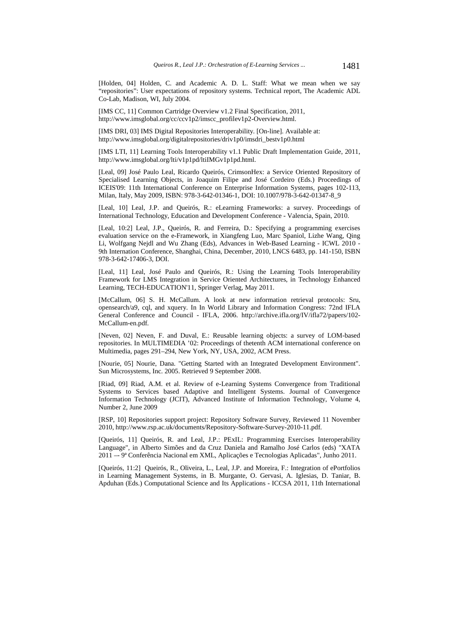[Holden, 04] Holden, C. and Academic A. D. L. Staff: What we mean when we say "repositories": User expectations of repository systems. Technical report, The Academic ADL Co-Lab, Madison, WI, July 2004.

[IMS CC, 11] Common Cartridge Overview v1.2 Final Specification, 2011, http://www.imsglobal.org/cc/ccv1p2/imscc\_profilev1p2-Overview.html.

[IMS DRI, 03] IMS Digital Repositories Interoperability. [On-line]. Available at: http://www.imsglobal.org/digitalrepositories/driv1p0/imsdri\_bestv1p0.html

[IMS LTI, 11] Learning Tools Interoperability v1.1 Public Draft Implementation Guide, 2011, http://www.imsglobal.org/lti/v1p1pd/ltiIMGv1p1pd.html.

[Leal, 09] José Paulo Leal, Ricardo Queirós, CrimsonHex: a Service Oriented Repository of Specialised Learning Objects, in Joaquim Filipe and José Cordeiro (Eds.) Proceedings of ICEIS'09: 11th International Conference on Enterprise Information Systems, pages 102-113, Milan, Italy, May 2009, ISBN: 978-3-642-01346-1, DOI: 10.1007/978-3-642-01347-8\_9

[Leal, 10] Leal, J.P. and Queirós, R.: eLearning Frameworks: a survey. Proceedings of International Technology, Education and Development Conference - Valencia, Spain, 2010.

[Leal, 10:2] Leal, J.P., Queirós, R. and Ferreira, D.: Specifying a programming exercises evaluation service on the e-Framework, in Xiangfeng Luo, Marc Spaniol, Lizhe Wang, Qing Li, Wolfgang Nejdl and Wu Zhang (Eds), Advances in Web-Based Learning - ICWL 2010 - 9th Internation Conference, Shanghai, China, December, 2010, LNCS 6483, pp. 141-150, ISBN 978-3-642-17406-3, DOI.

[Leal, 11] Leal, José Paulo and Queirós, R.: Using the Learning Tools Interoperability Framework for LMS Integration in Service Oriented Architectures, in Technology Enhanced Learning, TECH-EDUCATION'11, Springer Verlag, May 2011.

[McCallum, 06] S. H. McCallum. A look at new information retrieval protocols: Sru, opensearch/a9, cql, and xquery. In In World Library and Information Congress: 72nd IFLA General Conference and Council - IFLA, 2006. http://archive.ifla.org/IV/ifla72/papers/102- McCallum-en.pdf.

[Neven, 02] Neven, F. and Duval, E.: Reusable learning objects: a survey of LOM-based repositories. In MULTIMEDIA '02: Proceedings of thetenth ACM international conference on Multimedia, pages 291–294, New York, NY, USA, 2002, ACM Press.

[Nourie, 05] Nourie, Dana. "Getting Started with an Integrated Development Environment". Sun Microsystems, Inc. 2005. Retrieved 9 September 2008.

[Riad, 09] Riad, A.M. et al. Review of e-Learning Systems Convergence from Traditional Systems to Services based Adaptive and Intelligent Systems. Journal of Convergence Information Technology (JCIT), Advanced Institute of Information Technology, Volume 4, Number 2, June 2009

[RSP, 10] Repositories support project: Repository Software Survey, Reviewed 11 November 2010, http://www.rsp.ac.uk/documents/Repository-Software-Survey-2010-11.pdf.

[Queirós, 11] Queirós, R. and Leal, J.P.: PExIL: Programming Exercises Interoperability Language", in Alberto Simões and da Cruz Daniela and Ramalho José Carlos (eds) "XATA 2011 –- 9ª Conferência Nacional em XML, Aplicações e Tecnologias Aplicadas", Junho 2011.

[Queirós, 11:2] Queirós, R., Oliveira, L., Leal, J.P. and Moreira, F.: Integration of ePortfolios in Learning Management Systems, in B. Murgante, O. Gervasi, A. Iglesias, D. Taniar, B. Apduhan (Eds.) Computational Science and Its Applications - ICCSA 2011, 11th International